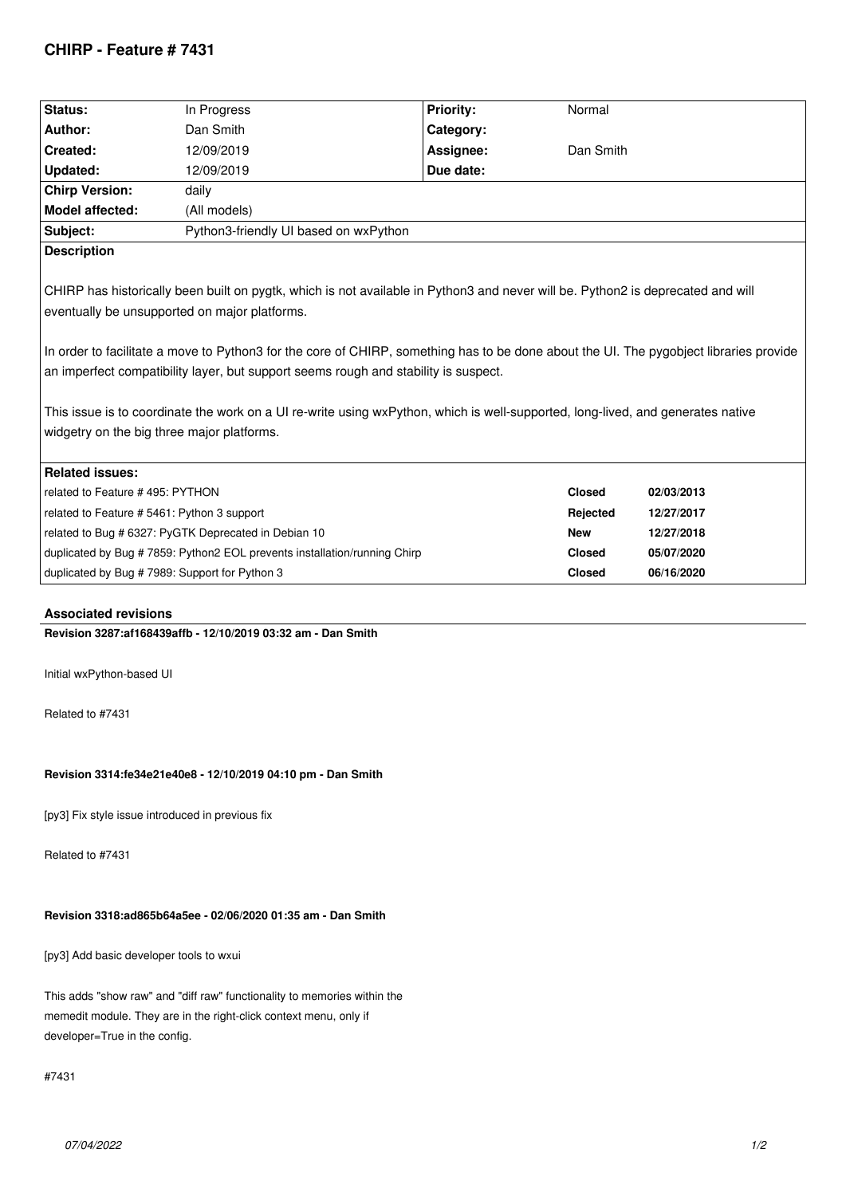# **CHIRP - Feature # 7431**

| Status:                                                                                                                                                                                                                                                                                                                                                                                                                                                                                                                                                                                            | In Progress                                                               | <b>Priority:</b> | Normal        |            |
|----------------------------------------------------------------------------------------------------------------------------------------------------------------------------------------------------------------------------------------------------------------------------------------------------------------------------------------------------------------------------------------------------------------------------------------------------------------------------------------------------------------------------------------------------------------------------------------------------|---------------------------------------------------------------------------|------------------|---------------|------------|
| Author:                                                                                                                                                                                                                                                                                                                                                                                                                                                                                                                                                                                            | Dan Smith                                                                 | Category:        |               |            |
| Created:                                                                                                                                                                                                                                                                                                                                                                                                                                                                                                                                                                                           | 12/09/2019                                                                | Assignee:        | Dan Smith     |            |
| Updated:                                                                                                                                                                                                                                                                                                                                                                                                                                                                                                                                                                                           | 12/09/2019                                                                | Due date:        |               |            |
| <b>Chirp Version:</b>                                                                                                                                                                                                                                                                                                                                                                                                                                                                                                                                                                              | daily                                                                     |                  |               |            |
| <b>Model affected:</b>                                                                                                                                                                                                                                                                                                                                                                                                                                                                                                                                                                             | (All models)                                                              |                  |               |            |
| Subject:                                                                                                                                                                                                                                                                                                                                                                                                                                                                                                                                                                                           | Python3-friendly UI based on wxPython                                     |                  |               |            |
| <b>Description</b>                                                                                                                                                                                                                                                                                                                                                                                                                                                                                                                                                                                 |                                                                           |                  |               |            |
| CHIRP has historically been built on pygtk, which is not available in Python3 and never will be. Python2 is deprecated and will<br>eventually be unsupported on major platforms.<br>In order to facilitate a move to Python3 for the core of CHIRP, something has to be done about the UI. The pygobject libraries provide<br>an imperfect compatibility layer, but support seems rough and stability is suspect.<br>This issue is to coordinate the work on a UI re-write using wxPython, which is well-supported, long-lived, and generates native<br>widgetry on the big three major platforms. |                                                                           |                  |               |            |
| <b>Related issues:</b>                                                                                                                                                                                                                                                                                                                                                                                                                                                                                                                                                                             |                                                                           |                  |               |            |
| related to Feature #495: PYTHON                                                                                                                                                                                                                                                                                                                                                                                                                                                                                                                                                                    |                                                                           |                  | <b>Closed</b> | 02/03/2013 |
| related to Feature # 5461: Python 3 support                                                                                                                                                                                                                                                                                                                                                                                                                                                                                                                                                        |                                                                           |                  | Rejected      | 12/27/2017 |
|                                                                                                                                                                                                                                                                                                                                                                                                                                                                                                                                                                                                    | related to Bug # 6327: PyGTK Deprecated in Debian 10                      |                  | <b>New</b>    | 12/27/2018 |
|                                                                                                                                                                                                                                                                                                                                                                                                                                                                                                                                                                                                    | duplicated by Bug # 7859: Python2 EOL prevents installation/running Chirp |                  | <b>Closed</b> | 05/07/2020 |
| duplicated by Bug #7989: Support for Python 3                                                                                                                                                                                                                                                                                                                                                                                                                                                                                                                                                      |                                                                           |                  | <b>Closed</b> | 06/16/2020 |
|                                                                                                                                                                                                                                                                                                                                                                                                                                                                                                                                                                                                    |                                                                           |                  |               |            |

## **Associated revisions**

**Revision 3287:af168439affb - 12/10/2019 03:32 am - Dan Smith**

*Initial wxPython-based UI*

*Related to #7431*

### **Revision 3314:fe34e21e40e8 - 12/10/2019 04:10 pm - Dan Smith**

*[py3] Fix style issue introduced in previous fix*

*Related to #7431*

## **Revision 3318:ad865b64a5ee - 02/06/2020 01:35 am - Dan Smith**

*[py3] Add basic developer tools to wxui*

*This adds "show raw" and "diff raw" functionality to memories within the memedit module. They are in the right-click context menu, only if developer=True in the config.*

*#7431*